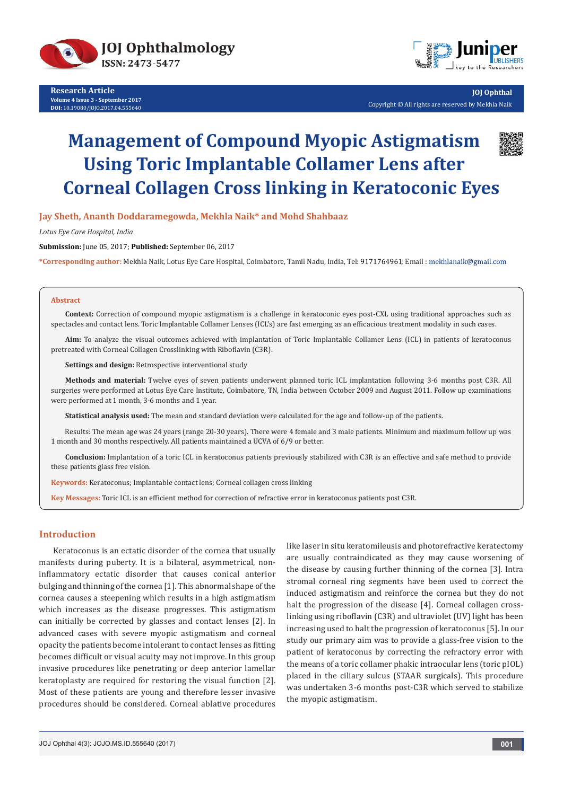



**JOJ Ophthal** Copyright © All rights are reserved by Mekhla Naik

# **Management of Compound Myopic Astigmatism Using Toric Implantable Collamer Lens after Corneal Collagen Cross linking in Keratoconic Eyes**

**Jay Sheth, Ananth Doddaramegowda, Mekhla Naik\* and Mohd Shahbaaz**

*Lotus Eye Care Hospital, India*

**Submission:** June 05, 2017; **Published:** September 06, 2017

\*Corresponding author: Mekhla Naik, Lotus Eye Care Hospital, Coimbatore, Tamil Nadu, India, Tel: 9171764961; Email: mekhlanaik@gmail.com

#### **Abstract**

**Context:** Correction of compound myopic astigmatism is a challenge in keratoconic eyes post-CXL using traditional approaches such as spectacles and contact lens. Toric Implantable Collamer Lenses (ICL's) are fast emerging as an efficacious treatment modality in such cases.

**Aim:** To analyze the visual outcomes achieved with implantation of Toric Implantable Collamer Lens (ICL) in patients of keratoconus pretreated with Corneal Collagen Crosslinking with Riboflavin (C3R).

**Settings and design:** Retrospective interventional study

**Methods and material:** Twelve eyes of seven patients underwent planned toric ICL implantation following 3-6 months post C3R. All surgeries were performed at Lotus Eye Care Institute, Coimbatore, TN, India between October 2009 and August 2011. Follow up examinations were performed at 1 month, 3-6 months and 1 year.

**Statistical analysis used:** The mean and standard deviation were calculated for the age and follow-up of the patients.

Results: The mean age was 24 years (range 20-30 years). There were 4 female and 3 male patients. Minimum and maximum follow up was 1 month and 30 months respectively. All patients maintained a UCVA of 6/9 or better.

**Conclusion:** Implantation of a toric ICL in keratoconus patients previously stabilized with C3R is an effective and safe method to provide these patients glass free vision.

**Keywords:** Keratoconus; Implantable contact lens; Corneal collagen cross linking

**Key Messages:** Toric ICL is an efficient method for correction of refractive error in keratoconus patients post C3R.

## **Introduction**

Keratoconus is an ectatic disorder of the cornea that usually manifests during puberty. It is a bilateral, asymmetrical, noninflammatory ectatic disorder that causes conical anterior bulging and thinning of the cornea [1]. This abnormal shape of the cornea causes a steepening which results in a high astigmatism which increases as the disease progresses. This astigmatism can initially be corrected by glasses and contact lenses [2]. In advanced cases with severe myopic astigmatism and corneal opacity the patients become intolerant to contact lenses as fitting becomes difficult or visual acuity may not improve. In this group invasive procedures like penetrating or deep anterior lamellar keratoplasty are required for restoring the visual function [2]. Most of these patients are young and therefore lesser invasive procedures should be considered. Corneal ablative procedures

like laser in situ keratomileusis and photorefractive keratectomy are usually contraindicated as they may cause worsening of the disease by causing further thinning of the cornea [3]. Intra stromal corneal ring segments have been used to correct the induced astigmatism and reinforce the cornea but they do not halt the progression of the disease [4]. Corneal collagen crosslinking using riboflavin (C3R) and ultraviolet (UV) light has been increasing used to halt the progression of keratoconus [5]. In our study our primary aim was to provide a glass-free vision to the patient of keratoconus by correcting the refractory error with the means of a toric collamer phakic intraocular lens (toric pIOL) placed in the ciliary sulcus (STAAR surgicals). This procedure was undertaken 3-6 months post-C3R which served to stabilize the myopic astigmatism.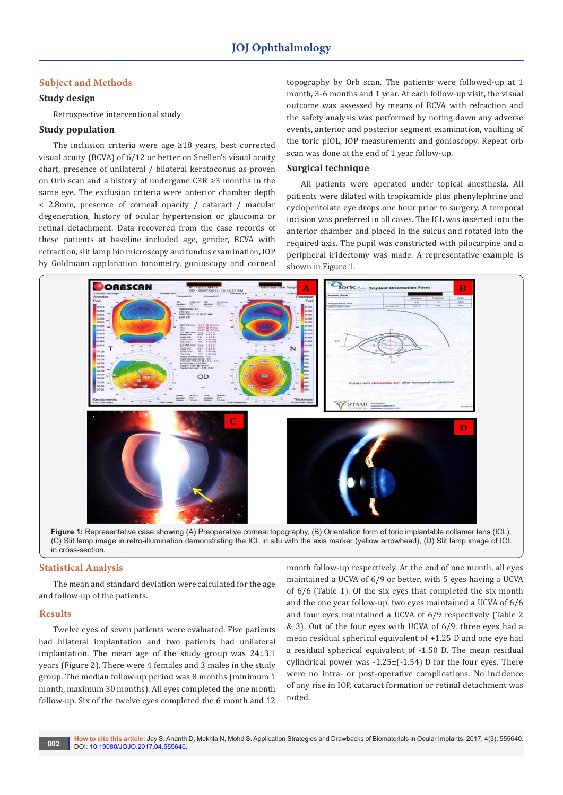# **Subject and Methods**

# **Study design**

Retrospective interventional study

#### **Study population**

The inclusion criteria were age ≥18 years, best corrected visual acuity (BCVA) of 6/12 or better on Snellen's visual acuity chart, presence of unilateral / bilateral keratoconus as proven on Orb scan and a history of undergone C3R ≥3 months in the same eye. The exclusion criteria were anterior chamber depth < 2.8mm, presence of corneal opacity / cataract / macular degeneration, history of ocular hypertension or glaucoma or retinal detachment. Data recovered from the case records of these patients at baseline included age, gender, BCVA with refraction, slit lamp bio microscopy and fundus examination, IOP by Goldmann applanation tonometry, gonioscopy and corneal topography by Orb scan. The patients were followed-up at 1 month, 3-6 months and 1 year. At each follow-up visit, the visual outcome was assessed by means of BCVA with refraction and the safety analysis was performed by noting down any adverse events, anterior and posterior segment examination, vaulting of the toric pIOL, IOP measurements and gonioscopy. Repeat orb scan was done at the end of 1 year follow-up.

### **Surgical technique**

All patients were operated under topical anesthesia. All patients were dilated with tropicamide plus phenylephrine and cyclopentolate eye drops one hour prior to surgery. A temporal incision was preferred in all cases. The ICL was inserted into the anterior chamber and placed in the sulcus and rotated into the required axis. The pupil was constricted with pilocarpine and a peripheral iridectomy was made. A representative example is shown in Figure 1.



**Figure 1:** Representative case showing (A) Preoperative corneal topography, (B) Orientation form of toric implantable collamer lens (ICL), (C) Slit lamp image in retro-illumination demonstrating the ICL in situ with the axis marker (yellow arrowhead), (D) Slit lamp image of ICL in cross-section.

### **Statistical Analysis**

The mean and standard deviation were calculated for the age and follow-up of the patients.

#### **Results**

Twelve eyes of seven patients were evaluated. Five patients had bilateral implantation and two patients had unilateral implantation. The mean age of the study group was 24±3.1 years (Figure 2). There were 4 females and 3 males in the study group. The median follow-up period was 8 months (minimum 1 month, maximum 30 months). All eyes completed the one month follow-up. Six of the twelve eyes completed the 6 month and 12

month follow-up respectively. At the end of one month, all eyes maintained a UCVA of 6/9 or better, with 5 eyes having a UCVA of 6/6 (Table 1). Of the six eyes that completed the six month and the one year follow-up, two eyes maintained a UCVA of 6/6 and four eyes maintained a UCVA of 6/9 respectively (Table 2 & 3). Out of the four eyes with UCVA of 6/9, three eyes had a mean residual spherical equivalent of +1.25 D and one eye had a residual spherical equivalent of -1.50 D. The mean residual cylindrical power was  $-1.25\pm(-1.54)$  D for the four eyes. There were no intra- or post-operative complications. No incidence of any rise in IOP, cataract formation or retinal detachment was noted.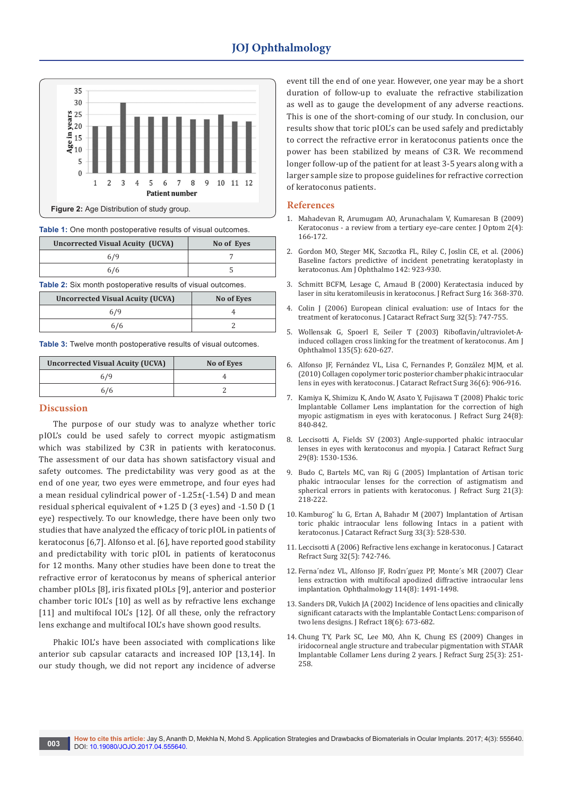

| Table 1: One month postoperative results of visual outcomes. |  |  |
|--------------------------------------------------------------|--|--|
|--------------------------------------------------------------|--|--|

| <b>Uncorrected Visual Acuity (UCVA)</b> | No of Eyes |
|-----------------------------------------|------------|
| 6/9                                     |            |
| 6/6                                     |            |

**Table 2:** Six month postoperative results of visual outcomes.

| <b>Uncorrected Visual Acuity (UCVA)</b> | No of Eyes |
|-----------------------------------------|------------|
| 6/9                                     |            |
| 6/6                                     |            |

**Table 3:** Twelve month postoperative results of visual outcomes.

| <b>Uncorrected Visual Acuity (UCVA)</b> | No of Eyes |
|-----------------------------------------|------------|
| 6/9                                     |            |
| 6/6                                     |            |

## **Discussion**

The purpose of our study was to analyze whether toric pIOL's could be used safely to correct myopic astigmatism which was stabilized by C3R in patients with keratoconus. The assessment of our data has shown satisfactory visual and safety outcomes. The predictability was very good as at the end of one year, two eyes were emmetrope, and four eyes had a mean residual cylindrical power of -1.25±(-1.54) D and mean residual spherical equivalent of +1.25 D (3 eyes) and -1.50 D (1 eye) respectively. To our knowledge, there have been only two studies that have analyzed the efficacy of toric pIOL in patients of keratoconus [6,7]. Alfonso et al. [6], have reported good stability and predictability with toric pIOL in patients of keratoconus for 12 months. Many other studies have been done to treat the refractive error of keratoconus by means of spherical anterior chamber pIOLs [8], iris fixated pIOLs [9], anterior and posterior chamber toric IOL's [10] as well as by refractive lens exchange [11] and multifocal IOL's [12]. Of all these, only the refractory lens exchange and multifocal IOL's have shown good results.

Phakic IOL's have been associated with complications like anterior sub capsular cataracts and increased IOP [13,14]. In our study though, we did not report any incidence of adverse event till the end of one year. However, one year may be a short duration of follow-up to evaluate the refractive stabilization as well as to gauge the development of any adverse reactions. This is one of the short-coming of our study. In conclusion, our results show that toric pIOL's can be used safely and predictably to correct the refractive error in keratoconus patients once the power has been stabilized by means of C3R. We recommend longer follow-up of the patient for at least 3-5 years along with a larger sample size to propose guidelines for refractive correction of keratoconus patients.

#### **References**

- 1. [Mahadevan R, Arumugam AO, Arunachalam V, Kumaresan B \(2009\)](https://www.ncbi.nlm.nih.gov/pmc/articles/PMC3974279/)  [Keratoconus - a review from a tertiary eye-care center. J Optom 2\(4\):](https://www.ncbi.nlm.nih.gov/pmc/articles/PMC3974279/)  [166-172.](https://www.ncbi.nlm.nih.gov/pmc/articles/PMC3974279/)
- 2. [Gordon MO, Steger MK, Szczotka FL, Riley C, Joslin CE, et al. \(2006\)](https://www.ncbi.nlm.nih.gov/pubmed/17157577)  [Baseline factors predictive of incident penetrating keratoplasty in](https://www.ncbi.nlm.nih.gov/pubmed/17157577)  [keratoconus. Am J Ophthalmo 142: 923-930.](https://www.ncbi.nlm.nih.gov/pubmed/17157577)
- 3. Schmitt BCFM, Lesage C, Arnaud B (2000) Keratectasia induced by laser in situ keratomileusis in keratoconus. J Refract Surg 16: 368-370.
- 4. [Colin J \(2006\) European clinical evaluation: use of Intacs for the](https://www.ncbi.nlm.nih.gov/pubmed/16765790)  [treatment of keratoconus. J Cataract Refract Surg 32\(5\): 747-755.](https://www.ncbi.nlm.nih.gov/pubmed/16765790)
- 5. [Wollensak G, Spoerl E, Seiler T \(2003\) Riboflavin/ultraviolet-A](https://www.ncbi.nlm.nih.gov/pubmed/12719068)[induced collagen cross linking for the treatment of keratoconus. Am J](https://www.ncbi.nlm.nih.gov/pubmed/12719068)  [Ophthalmol 135\(5\): 620-627.](https://www.ncbi.nlm.nih.gov/pubmed/12719068)
- 6. [Alfonso JF, Fernández VL, Lisa C, Fernandes P, González MJM, et al.](https://www.ncbi.nlm.nih.gov/pubmed/20494760)  [\(2010\) Collagen copolymer toric posterior chamber phakic intraocular](https://www.ncbi.nlm.nih.gov/pubmed/20494760)  [lens in eyes with keratoconus. J Cataract Refract Surg 36\(6\): 906-916.](https://www.ncbi.nlm.nih.gov/pubmed/20494760)
- 7. [Kamiya K, Shimizu K, Ando W, Asato Y, Fujisawa T \(2008\) Phakic toric](https://www.ncbi.nlm.nih.gov/pubmed/18856240)  [Implantable Collamer Lens implantation for the correction of high](https://www.ncbi.nlm.nih.gov/pubmed/18856240)  [myopic astigmatism in eyes with keratoconus. J Refract Surg 24\(8\):](https://www.ncbi.nlm.nih.gov/pubmed/18856240)  [840-842.](https://www.ncbi.nlm.nih.gov/pubmed/18856240)
- 8. [Leccisotti A, Fields SV \(2003\) Angle-supported phakic intraocular](https://www.ncbi.nlm.nih.gov/pubmed/12954300)  [lenses in eyes with keratoconus and myopia. J Cataract Refract Surg](https://www.ncbi.nlm.nih.gov/pubmed/12954300)  [29\(8\): 1530-1536.](https://www.ncbi.nlm.nih.gov/pubmed/12954300)
- 9. [Budo C, Bartels MC, van Rij G \(2005\) Implantation of Artisan toric](https://www.ncbi.nlm.nih.gov/pubmed/15977878)  [phakic intraocular lenses for the correction of astigmatism and](https://www.ncbi.nlm.nih.gov/pubmed/15977878)  [spherical errors in patients with keratoconus. J Refract Surg 21\(3\):](https://www.ncbi.nlm.nih.gov/pubmed/15977878)  [218-222.](https://www.ncbi.nlm.nih.gov/pubmed/15977878)
- 10. [Kamburog˘ lu G, Ertan A, Bahadır M \(2007\) Implantation of Artisan](https://www.ncbi.nlm.nih.gov/pubmed/17321406)  [toric phakic intraocular lens following Intacs in a patient with](https://www.ncbi.nlm.nih.gov/pubmed/17321406)  [keratoconus. J Cataract Refract Surg 33\(3\): 528-530.](https://www.ncbi.nlm.nih.gov/pubmed/17321406)
- 11. [Leccisotti A \(2006\) Refractive lens exchange in keratoconus. J Cataract](https://www.ncbi.nlm.nih.gov/pubmed/16765789)  [Refract Surg 32\(5\): 742-746.](https://www.ncbi.nlm.nih.gov/pubmed/16765789)
- 12. [Ferna´ndez VL, Alfonso JF, Rodrı´guez PP, Monte´s MR \(2007\) Clear](http://www.aaojournal.org/article/S0161-6420(06)01589-2/fulltext)  [lens extraction with multifocal apodized diffractive intraocular lens](http://www.aaojournal.org/article/S0161-6420(06)01589-2/fulltext)  [implantation. Ophthalmology 114\(8\): 1491-1498.](http://www.aaojournal.org/article/S0161-6420(06)01589-2/fulltext)
- 13. [Sanders DR, Vukich JA \(2002\) Incidence of lens opacities and clinically](https://www.ncbi.nlm.nih.gov/pubmed/12458860)  [significant cataracts with the Implantable Contact Lens: comparison of](https://www.ncbi.nlm.nih.gov/pubmed/12458860)  [two lens designs. J Refract 18\(6\): 673-682.](https://www.ncbi.nlm.nih.gov/pubmed/12458860)
- 14. [Chung TY, Park SC, Lee MO, Ahn K, Chung ES \(2009\) Changes in](https://www.ncbi.nlm.nih.gov/pubmed/19370819)  [iridocorneal angle structure and trabecular pigmentation with STAAR](https://www.ncbi.nlm.nih.gov/pubmed/19370819)  [Implantable Collamer Lens during 2 years. J Refract Surg 25\(3\): 251-](https://www.ncbi.nlm.nih.gov/pubmed/19370819) [258.](https://www.ncbi.nlm.nih.gov/pubmed/19370819)